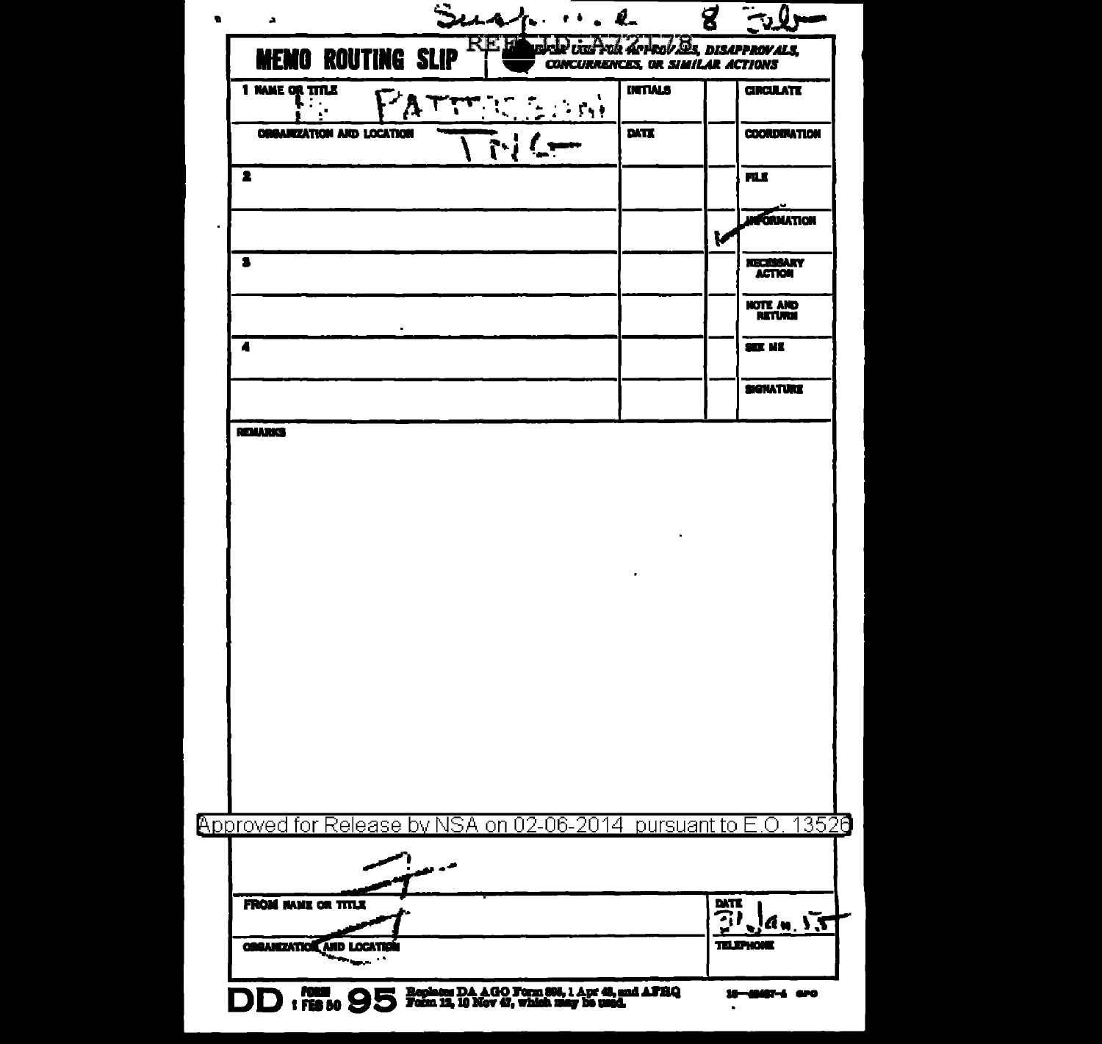| <b>MEMO ROUTING SLIP</b><br>1 NAME OR TITLE<br>$\mathbf{L}$      |     | <b>CONCURRENCES, OR SIMILAR ACTIONS</b><br><b>INTTALS</b><br>$\mathcal{L}_{\mathcal{A}}$ | usku var rak arrav Ds. DISAPPROVALS.<br><b>CIRCULATE</b> |
|------------------------------------------------------------------|-----|------------------------------------------------------------------------------------------|----------------------------------------------------------|
| <b>ORGANIZATION AND LOCATION</b>                                 |     | DATE                                                                                     | <b>COORDINATION</b>                                      |
| 2                                                                |     |                                                                                          | <b>MLE</b>                                               |
|                                                                  |     |                                                                                          | <b>FGRUATION</b><br>k                                    |
| 2                                                                |     |                                                                                          | <b>NECESSARY</b><br><b>ACTION</b>                        |
|                                                                  |     |                                                                                          | NOTE AND<br><b>RETURN</b>                                |
| 4                                                                |     |                                                                                          | SEE KE                                                   |
|                                                                  |     |                                                                                          | <b>SIGNATURE</b>                                         |
|                                                                  |     |                                                                                          |                                                          |
|                                                                  |     |                                                                                          |                                                          |
| Approved for Release by NSA on 02-06-2014 pursuant to E.O. 13526 | م د |                                                                                          |                                                          |